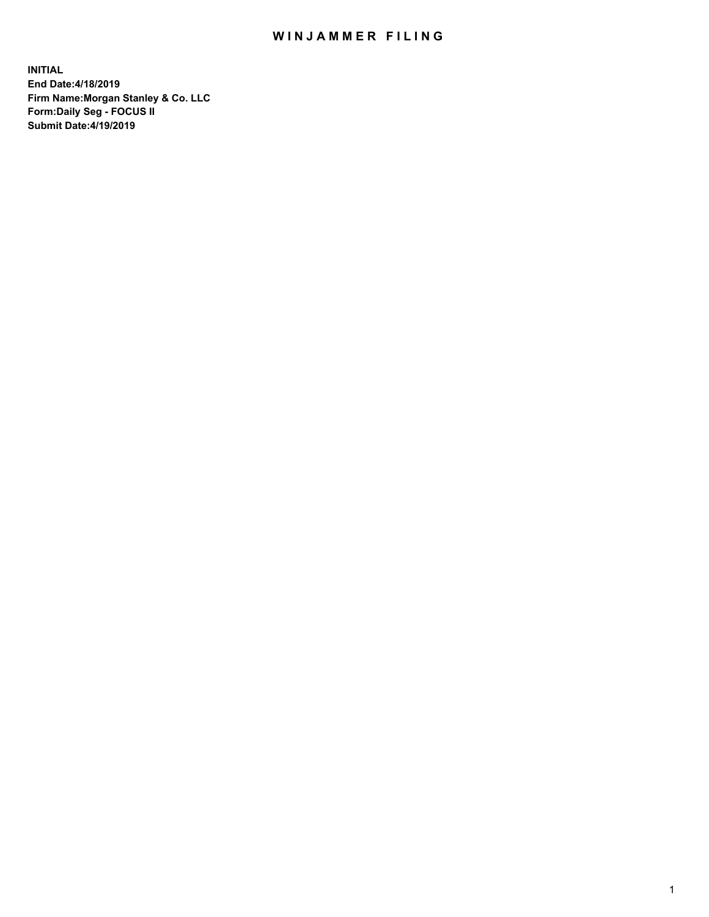## WIN JAMMER FILING

**INITIAL End Date:4/18/2019 Firm Name:Morgan Stanley & Co. LLC Form:Daily Seg - FOCUS II Submit Date:4/19/2019**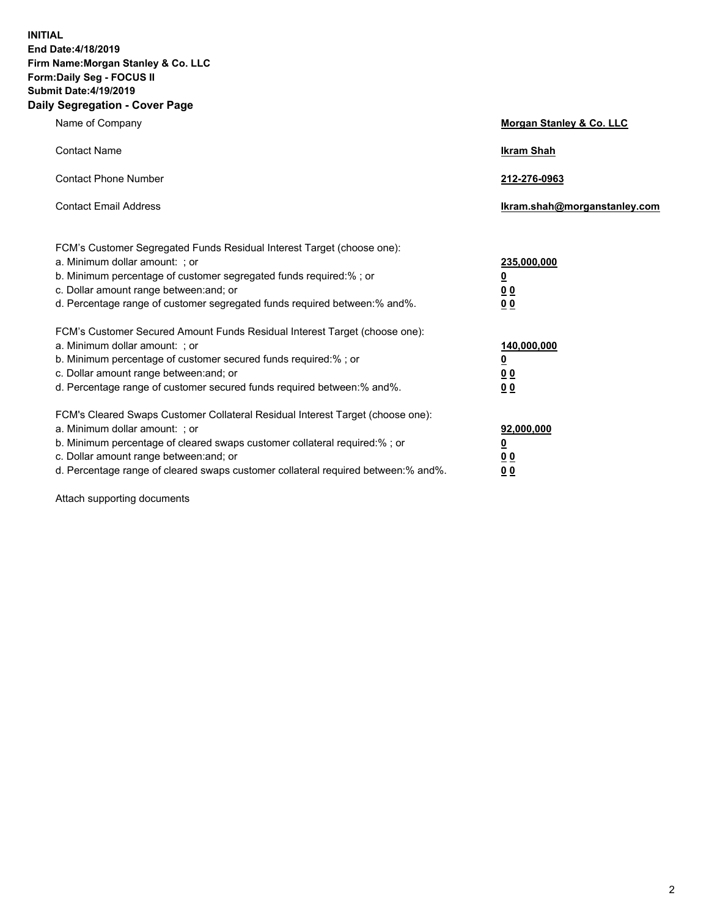**INITIAL End Date:4/18/2019 Firm Name:Morgan Stanley & Co. LLC Form:Daily Seg - FOCUS II Submit Date:4/19/2019 Daily Segregation - Cover Page**

| Name of Company                                                                   | Morgan Stanley & Co. LLC     |
|-----------------------------------------------------------------------------------|------------------------------|
| <b>Contact Name</b>                                                               | <b>Ikram Shah</b>            |
| <b>Contact Phone Number</b>                                                       | 212-276-0963                 |
| <b>Contact Email Address</b>                                                      | Ikram.shah@morganstanley.com |
| FCM's Customer Segregated Funds Residual Interest Target (choose one):            |                              |
| a. Minimum dollar amount: ; or                                                    | 235,000,000                  |
| b. Minimum percentage of customer segregated funds required:% ; or                | <u>0</u>                     |
| c. Dollar amount range between: and; or                                           | <u>0 0</u>                   |
| d. Percentage range of customer segregated funds required between: % and %.       | 00                           |
| FCM's Customer Secured Amount Funds Residual Interest Target (choose one):        |                              |
| a. Minimum dollar amount: ; or                                                    | 140,000,000                  |
| b. Minimum percentage of customer secured funds required:%; or                    | <u>0</u>                     |
| c. Dollar amount range between: and; or                                           | 0 <sub>0</sub>               |
| d. Percentage range of customer secured funds required between:% and%.            | 0 <sub>0</sub>               |
| FCM's Cleared Swaps Customer Collateral Residual Interest Target (choose one):    |                              |
| a. Minimum dollar amount: ; or                                                    | 92,000,000                   |
| b. Minimum percentage of cleared swaps customer collateral required:% ; or        | <u>0</u>                     |
| c. Dollar amount range between: and; or                                           | 0 Q                          |
| d. Percentage range of cleared swaps customer collateral required between:% and%. | 00                           |

Attach supporting documents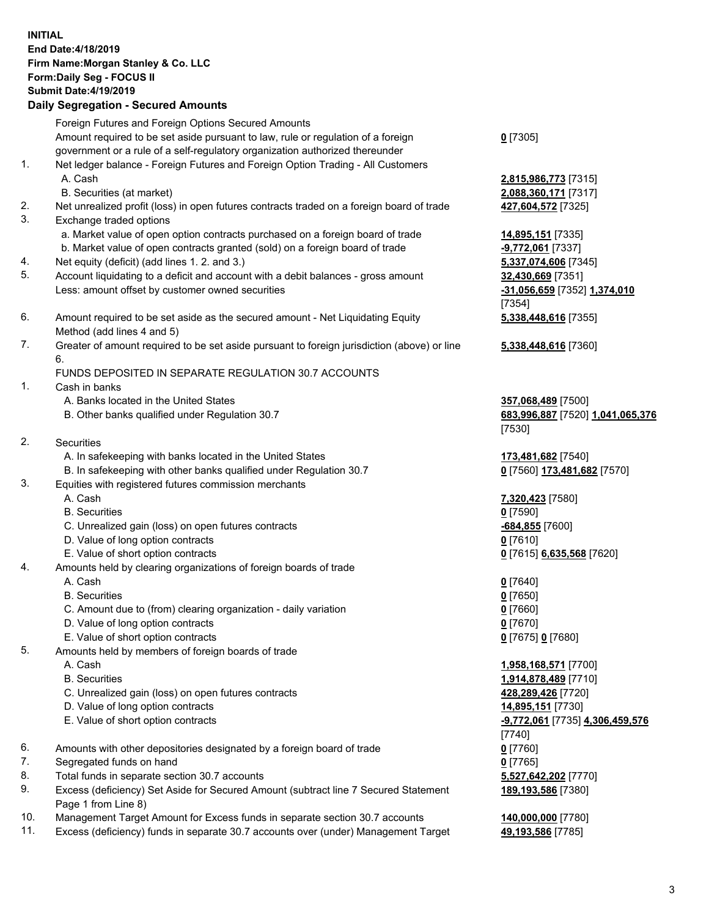## **INITIAL End Date:4/18/2019 Firm Name:Morgan Stanley & Co. LLC Form:Daily Seg - FOCUS II Submit Date:4/19/2019 Daily Segregation - Secured Amounts** Foreign Futures and Foreign Options Secured Amounts Amount required to be set aside pursuant to law, rule or regulation of a foreign

government or a rule of a self-regulatory organization authorized thereunder 1. Net ledger balance - Foreign Futures and Foreign Option Trading - All Customers

- A. Cash **2,815,986,773** [7315]
	- B. Securities (at market) **2,088,360,171** [7317]
- 2. Net unrealized profit (loss) in open futures contracts traded on a foreign board of trade **427,604,572** [7325]
- 3. Exchange traded options
	- a. Market value of open option contracts purchased on a foreign board of trade **14,895,151** [7335]
	- b. Market value of open contracts granted (sold) on a foreign board of trade **-9,772,061** [7337]
- 4. Net equity (deficit) (add lines 1. 2. and 3.) **5,337,074,606** [7345]
- 5. Account liquidating to a deficit and account with a debit balances gross amount **32,430,669** [7351] Less: amount offset by customer owned securities **-31,056,659** [7352] **1,374,010**
- 6. Amount required to be set aside as the secured amount Net Liquidating Equity Method (add lines 4 and 5)
- 7. Greater of amount required to be set aside pursuant to foreign jurisdiction (above) or line 6.

## FUNDS DEPOSITED IN SEPARATE REGULATION 30.7 ACCOUNTS

- 1. Cash in banks
	- A. Banks located in the United States **357,068,489** [7500]
	- B. Other banks qualified under Regulation 30.7 **683,996,887** [7520] **1,041,065,376**
- 2. Securities
	- A. In safekeeping with banks located in the United States **173,481,682** [7540]
	- B. In safekeeping with other banks qualified under Regulation 30.7 **0** [7560] **173,481,682** [7570]
- 3. Equities with registered futures commission merchants
	-
	- B. Securities **0** [7590]
	- C. Unrealized gain (loss) on open futures contracts **-684,855** [7600]
	- D. Value of long option contracts **0** [7610]
- E. Value of short option contracts **0** [7615] **6,635,568** [7620]
- 4. Amounts held by clearing organizations of foreign boards of trade
	- A. Cash **0** [7640]
	- B. Securities **0** [7650]
	- C. Amount due to (from) clearing organization daily variation **0** [7660]
	- D. Value of long option contracts **0** [7670]
	- E. Value of short option contracts **0** [7675] **0** [7680]
- 5. Amounts held by members of foreign boards of trade
	-
	-
	- C. Unrealized gain (loss) on open futures contracts **428,289,426** [7720]
	- D. Value of long option contracts **14,895,151** [7730]
	- E. Value of short option contracts **-9,772,061** [7735] **4,306,459,576**
- 6. Amounts with other depositories designated by a foreign board of trade **0** [7760]
- 7. Segregated funds on hand **0** [7765]
- 8. Total funds in separate section 30.7 accounts **5,527,642,202** [7770]
- 9. Excess (deficiency) Set Aside for Secured Amount (subtract line 7 Secured Statement Page 1 from Line 8)
- 10. Management Target Amount for Excess funds in separate section 30.7 accounts **140,000,000** [7780]
- 11. Excess (deficiency) funds in separate 30.7 accounts over (under) Management Target **49,193,586** [7785]

**0** [7305]

[7354] **5,338,448,616** [7355]

**5,338,448,616** [7360]

[7530]

A. Cash **7,320,423** [7580]

 A. Cash **1,958,168,571** [7700] B. Securities **1,914,878,489** [7710] [7740] **189,193,586** [7380]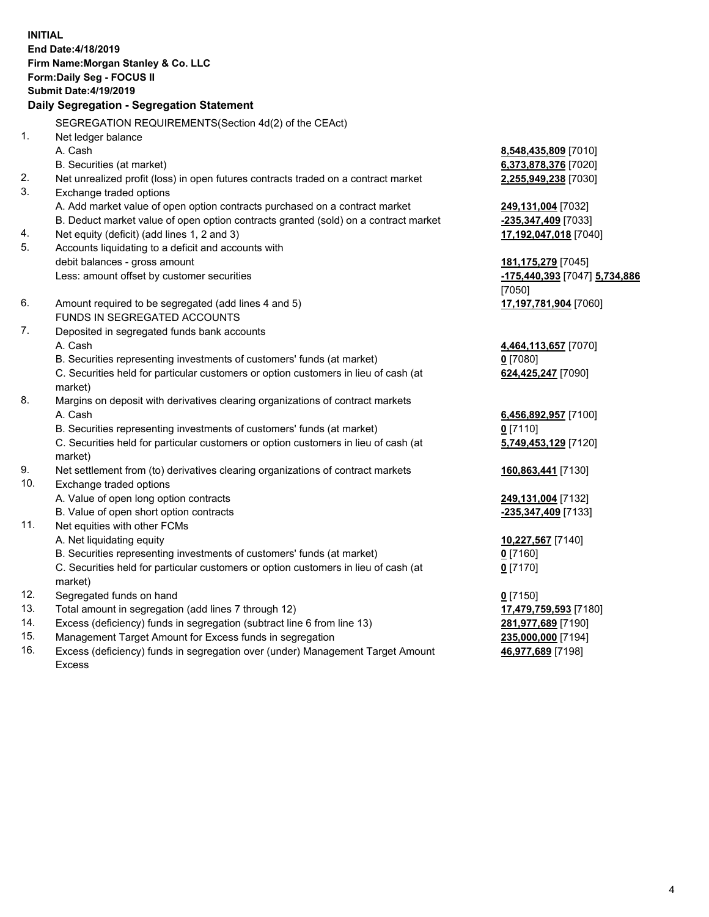**INITIAL End Date:4/18/2019 Firm Name:Morgan Stanley & Co. LLC Form:Daily Seg - FOCUS II Submit Date:4/19/2019 Daily Segregation - Segregation Statement** SEGREGATION REQUIREMENTS(Section 4d(2) of the CEAct) 1. Net ledger balance A. Cash **8,548,435,809** [7010] B. Securities (at market) **6,373,878,376** [7020] 2. Net unrealized profit (loss) in open futures contracts traded on a contract market **2,255,949,238** [7030] 3. Exchange traded options A. Add market value of open option contracts purchased on a contract market **249,131,004** [7032] B. Deduct market value of open option contracts granted (sold) on a contract market **-235,347,409** [7033] 4. Net equity (deficit) (add lines 1, 2 and 3) **17,192,047,018** [7040] 5. Accounts liquidating to a deficit and accounts with debit balances - gross amount **181,175,279** [7045] Less: amount offset by customer securities **-175,440,393** [7047] **5,734,886** [7050] 6. Amount required to be segregated (add lines 4 and 5) **17,197,781,904** [7060] FUNDS IN SEGREGATED ACCOUNTS 7. Deposited in segregated funds bank accounts A. Cash **4,464,113,657** [7070] B. Securities representing investments of customers' funds (at market) **0** [7080] C. Securities held for particular customers or option customers in lieu of cash (at market) **624,425,247** [7090] 8. Margins on deposit with derivatives clearing organizations of contract markets A. Cash **6,456,892,957** [7100] B. Securities representing investments of customers' funds (at market) **0** [7110] C. Securities held for particular customers or option customers in lieu of cash (at market) **5,749,453,129** [7120] 9. Net settlement from (to) derivatives clearing organizations of contract markets **160,863,441** [7130] 10. Exchange traded options A. Value of open long option contracts **249,131,004** [7132] B. Value of open short option contracts **-235,347,409** [7133] 11. Net equities with other FCMs A. Net liquidating equity **10,227,567** [7140] B. Securities representing investments of customers' funds (at market) **0** [7160] C. Securities held for particular customers or option customers in lieu of cash (at market) **0** [7170] 12. Segregated funds on hand **0** [7150] 13. Total amount in segregation (add lines 7 through 12) **17,479,759,593** [7180] 14. Excess (deficiency) funds in segregation (subtract line 6 from line 13) **281,977,689** [7190]

- 15. Management Target Amount for Excess funds in segregation **235,000,000** [7194]
- 16. Excess (deficiency) funds in segregation over (under) Management Target Amount Excess

**46,977,689** [7198]